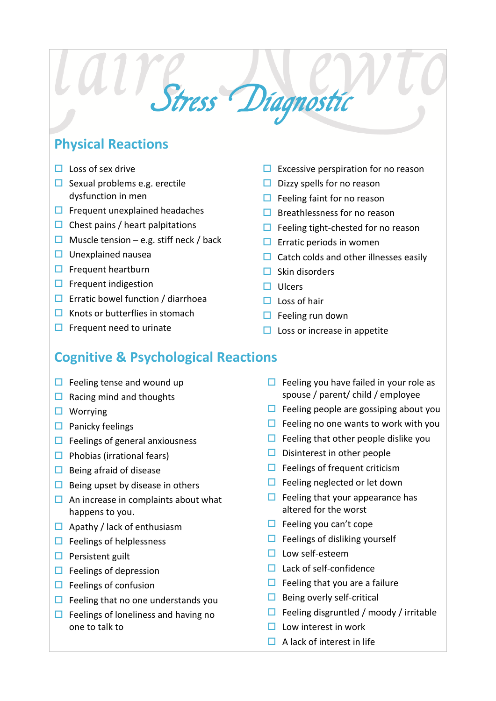## **Physical Reactions**

- $\Box$  Loss of sex drive
- $\Box$  Sexual problems e.g. erectile dysfunction in men
- $\Box$  Frequent unexplained headaches
- $\Box$  Chest pains / heart palpitations
- $\Box$  Muscle tension e.g. stiff neck / back
- $\Box$  Unexplained nausea
- $\Box$  Frequent heartburn
- $\Box$  Frequent indigestion
- $\Box$  Erratic bowel function / diarrhoea
- $\Box$  Knots or butterflies in stomach
- $\Box$  Frequent need to urinate
- $\Box$  Excessive perspiration for no reason
- $\Box$  Dizzy spells for no reason
- $\Box$  Feeling faint for no reason
- $\Box$  Breathlessness for no reason
- $\Box$  Feeling tight-chested for no reason
- $\Box$  Erratic periods in women
- $\Box$  Catch colds and other illnesses easily
- $\Box$  Skin disorders
- $\Box$  Ulcers
- $\Box$  Loss of hair
- $\Box$  Feeling run down
- $\Box$  Loss or increase in appetite

## **Cognitive & Psychological Reactions**

Stress Diagnostic

- $\Box$  Feeling tense and wound up
- $\Box$  Racing mind and thoughts
- $\Box$  Worrying
- $\Box$  Panicky feelings
- $\Box$  Feelings of general anxiousness
- $\Box$  Phobias (irrational fears)
- $\Box$  Being afraid of disease
- $\Box$  Being upset by disease in others
- $\Box$  An increase in complaints about what happens to you.
- $\Box$  Apathy / lack of enthusiasm
- $\Box$  Feelings of helplessness
- $\Box$  Persistent guilt
- $\Box$  Feelings of depression
- $\Box$  Feelings of confusion
- $\Box$  Feeling that no one understands you
- $\Box$  Feelings of loneliness and having no one to talk to
- $\Box$  Feeling you have failed in your role as spouse / parent/ child / employee
- $\Box$  Feeling people are gossiping about you
- $\Box$  Feeling no one wants to work with you
- $\Box$  Feeling that other people dislike you
- $\Box$  Disinterest in other people
- $\Box$  Feelings of frequent criticism
- $\Box$  Feeling neglected or let down
- $\Box$  Feeling that your appearance has altered for the worst
- $\Box$  Feeling you can't cope
- $\Box$  Feelings of disliking yourself
- $\Box$  Low self-esteem
- $\Box$  Lack of self-confidence
- $\Box$  Feeling that you are a failure
- $\Box$  Being overly self-critical
- $\Box$  Feeling disgruntled / moody / irritable
- $\Box$  Low interest in work
- $\Box$  A lack of interest in life